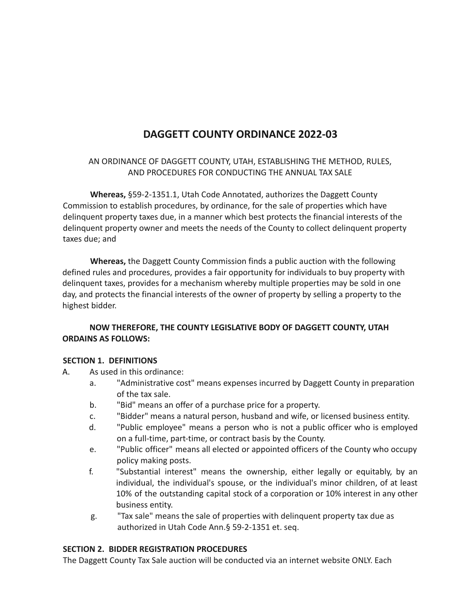# **DAGGETT COUNTY ORDINANCE 2022-03**

AN ORDINANCE OF DAGGETT COUNTY, UTAH, ESTABLISHING THE METHOD, RULES, AND PROCEDURES FOR CONDUCTING THE ANNUAL TAX SALE

**Whereas,** §59-2-1351.1, Utah Code Annotated, authorizes the Daggett County Commission to establish procedures, by ordinance, for the sale of properties which have delinquent property taxes due, in a manner which best protects the financial interests of the delinquent property owner and meets the needs of the County to collect delinquent property taxes due; and

**Whereas,** the Daggett County Commission finds a public auction with the following defined rules and procedures, provides a fair opportunity for individuals to buy property with delinquent taxes, provides for a mechanism whereby multiple properties may be sold in one day, and protects the financial interests of the owner of property by selling a property to the highest bidder.

## **NOW THEREFORE, THE COUNTY LEGISLATIVE BODY OF DAGGETT COUNTY, UTAH ORDAINS AS FOLLOWS:**

## **SECTION 1. DEFINITIONS**

- A. As used in this ordinance:
	- a. "Administrative cost" means expenses incurred by Daggett County in preparation of the tax sale.
	- b. "Bid" means an offer of a purchase price for a property.
	- c. "Bidder" means a natural person, husband and wife, or licensed business entity.
	- d. "Public employee" means a person who is not a public officer who is employed on a full-time, part-time, or contract basis by the County.
	- e. "Public officer" means all elected or appointed officers of the County who occupy policy making posts.
	- f. "Substantial interest" means the ownership, either legally or equitably, by an individual, the individual's spouse, or the individual's minor children, of at least 10% of the outstanding capital stock of a corporation or 10% interest in any other business entity.
	- g. "Tax sale" means the sale of properties with delinquent property tax due as authorized in Utah Code Ann.§ 59-2-1351 et. seq.

#### **SECTION 2. BIDDER REGISTRATION PROCEDURES**

The Daggett County Tax Sale auction will be conducted via an internet website ONLY. Each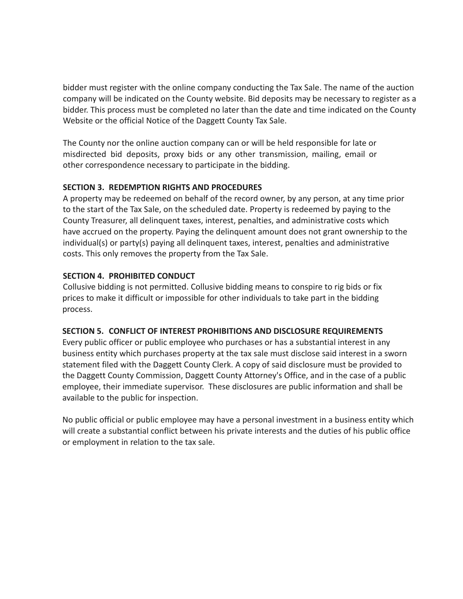bidder must register with the online company conducting the Tax Sale. The name of the auction company will be indicated on the County website. Bid deposits may be necessary to register as a bidder. This process must be completed no later than the date and time indicated on the County Website or the official Notice of the Daggett County Tax Sale.

The County nor the online auction company can or will be held responsible for late or misdirected bid deposits, proxy bids or any other transmission, mailing, email or other correspondence necessary to participate in the bidding.

## **SECTION 3. REDEMPTION RIGHTS AND PROCEDURES**

A property may be redeemed on behalf of the record owner, by any person, at any time prior to the start of the Tax Sale, on the scheduled date. Property is redeemed by paying to the County Treasurer, all delinquent taxes, interest, penalties, and administrative costs which have accrued on the property. Paying the delinquent amount does not grant ownership to the individual(s) or party(s) paying all delinquent taxes, interest, penalties and administrative costs. This only removes the property from the Tax Sale.

# **SECTION 4. PROHIBITED CONDUCT**

Collusive bidding is not permitted. Collusive bidding means to conspire to rig bids or fix prices to make it difficult or impossible for other individuals to take part in the bidding process.

## **SECTION 5. CONFLICT OF INTEREST PROHIBITIONS AND DISCLOSURE REQUIREMENTS**

Every public officer or public employee who purchases or has a substantial interest in any business entity which purchases property at the tax sale must disclose said interest in a sworn statement filed with the Daggett County Clerk. A copy of said disclosure must be provided to the Daggett County Commission, Daggett County Attorney's Office, and in the case of a public employee, their immediate supervisor. These disclosures are public information and shall be available to the public for inspection.

No public official or public employee may have a personal investment in a business entity which will create a substantial conflict between his private interests and the duties of his public office or employment in relation to the tax sale.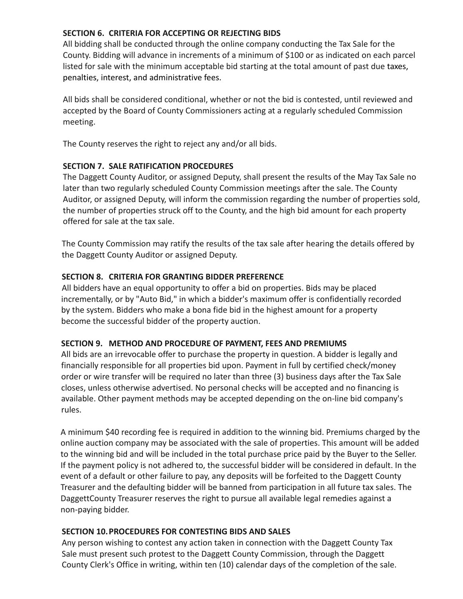## **SECTION 6. CRITERIA FOR ACCEPTING OR REJECTING BIDS**

All bidding shall be conducted through the online company conducting the Tax Sale for the County. Bidding will advance in increments of a minimum of \$100 or as indicated on each parcel listed for sale with the minimum acceptable bid starting at the total amount of past due taxes, penalties, interest, and administrative fees.

All bids shall be considered conditional, whether or not the bid is contested, until reviewed and accepted by the Board of County Commissioners acting at a regularly scheduled Commission meeting.

The County reserves the right to reject any and/or all bids.

## **SECTION 7. SALE RATIFICATION PROCEDURES**

The Daggett County Auditor, or assigned Deputy, shall present the results of the May Tax Sale no later than two regularly scheduled County Commission meetings after the sale. The County Auditor, or assigned Deputy, will inform the commission regarding the number of properties sold, the number of properties struck off to the County, and the high bid amount for each property offered for sale at the tax sale.

The County Commission may ratify the results of the tax sale after hearing the details offered by the Daggett County Auditor or assigned Deputy.

## **SECTION 8. CRITERIA FOR GRANTING BIDDER PREFERENCE**

All bidders have an equal opportunity to offer a bid on properties. Bids may be placed incrementally, or by "Auto Bid," in which a bidder's maximum offer is confidentially recorded by the system. Bidders who make a bona fide bid in the highest amount for a property become the successful bidder of the property auction.

## **SECTION 9. METHOD AND PROCEDURE OF PAYMENT, FEES AND PREMIUMS**

All bids are an irrevocable offer to purchase the property in question. A bidder is legally and financially responsible for all properties bid upon. Payment in full by certified check/money order or wire transfer will be required no later than three (3) business days after the Tax Sale closes, unless otherwise advertised. No personal checks will be accepted and no financing is available. Other payment methods may be accepted depending on the on-line bid company's rules.

A minimum \$40 recording fee is required in addition to the winning bid. Premiums charged by the online auction company may be associated with the sale of properties. This amount will be added to the winning bid and will be included in the total purchase price paid by the Buyer to the Seller. If the payment policy is not adhered to, the successful bidder will be considered in default. In the event of a default or other failure to pay, any deposits will be forfeited to the Daggett County Treasurer and the defaulting bidder will be banned from participation in all future tax sales. The DaggettCounty Treasurer reserves the right to pursue all available legal remedies against a non-paying bidder.

#### **SECTION 10.PROCEDURES FOR CONTESTING BIDS AND SALES**

Any person wishing to contest any action taken in connection with the Daggett County Tax Sale must present such protest to the Daggett County Commission, through the Daggett County Clerk's Office in writing, within ten (10) calendar days of the completion of the sale.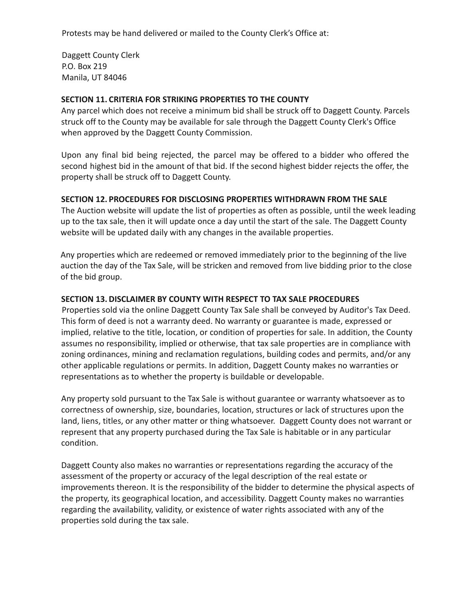Protests may be hand delivered or mailed to the County Clerk's Office at:

Daggett County Clerk P.O. Box 219 Manila, UT 84046

#### **SECTION 11. CRITERIA FOR STRIKING PROPERTIES TO THE COUNTY**

Any parcel which does not receive a minimum bid shall be struck off to Daggett County. Parcels struck off to the County may be available for sale through the Daggett County Clerk's Office when approved by the Daggett County Commission.

Upon any final bid being rejected, the parcel may be offered to a bidder who offered the second highest bid in the amount of that bid. If the second highest bidder rejects the offer, the property shall be struck off to Daggett County.

#### **SECTION 12. PROCEDURES FOR DISCLOSING PROPERTIES WITHDRAWN FROM THE SALE**

The Auction website will update the list of properties as often as possible, until the week leading up to the tax sale, then it will update once a day until the start of the sale. The Daggett County website will be updated daily with any changes in the available properties.

Any properties which are redeemed or removed immediately prior to the beginning of the live auction the day of the Tax Sale, will be stricken and removed from live bidding prior to the close of the bid group.

#### **SECTION 13. DISCLAIMER BY COUNTY WITH RESPECT TO TAX SALE PROCEDURES**

Properties sold via the online Daggett County Tax Sale shall be conveyed by Auditor's Tax Deed. This form of deed is not a warranty deed. No warranty or guarantee is made, expressed or implied, relative to the title, location, or condition of properties for sale. In addition, the County assumes no responsibility, implied or otherwise, that tax sale properties are in compliance with zoning ordinances, mining and reclamation regulations, building codes and permits, and/or any other applicable regulations or permits. In addition, Daggett County makes no warranties or representations as to whether the property is buildable or developable.

Any property sold pursuant to the Tax Sale is without guarantee or warranty whatsoever as to correctness of ownership, size, boundaries, location, structures or lack of structures upon the land, liens, titles, or any other matter or thing whatsoever. Daggett County does not warrant or represent that any property purchased during the Tax Sale is habitable or in any particular condition.

Daggett County also makes no warranties or representations regarding the accuracy of the assessment of the property or accuracy of the legal description of the real estate or improvements thereon. It is the responsibility of the bidder to determine the physical aspects of the property, its geographical location, and accessibility. Daggett County makes no warranties regarding the availability, validity, or existence of water rights associated with any of the properties sold during the tax sale.